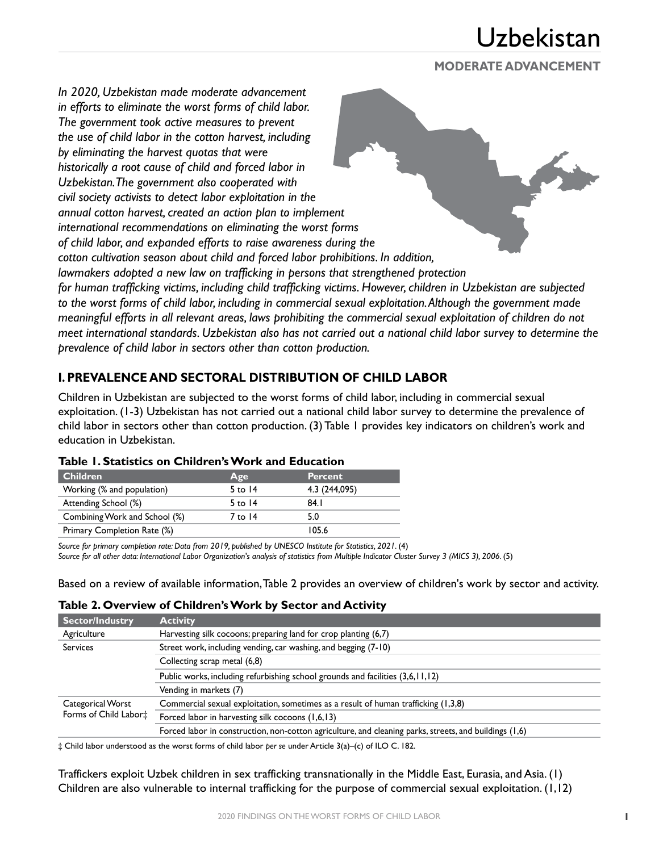#### **MODERATE ADVANCEMENT**

*In 2020, Uzbekistan made moderate advancement in efforts to eliminate the worst forms of child labor. The government took active measures to prevent the use of child labor in the cotton harvest, including by eliminating the harvest quotas that were historically a root cause of child and forced labor in Uzbekistan. The government also cooperated with civil society activists to detect labor exploitation in the annual cotton harvest, created an action plan to implement international recommendations on eliminating the worst forms of child labor, and expanded efforts to raise awareness during the cotton cultivation season about child and forced labor prohibitions. In addition, lawmakers adopted a new law on trafficking in persons that strengthened protection for human trafficking victims, including child trafficking victims. However, children in Uzbekistan are subjected to the worst forms of child labor, including in commercial sexual exploitation. Although the government made meaningful efforts in all relevant areas, laws prohibiting the commercial sexual exploitation of children do not meet international standards. Uzbekistan also has not carried out a national child labor survey to determine the prevalence of child labor in sectors other than cotton production.*

### **I. PREVALENCE AND SECTORAL DISTRIBUTION OF CHILD LABOR**

Children in Uzbekistan are subjected to the worst forms of child labor, including in commercial sexual exploitation. (1-3) Uzbekistan has not carried out a national child labor survey to determine the prevalence of child labor in sectors other than cotton production. (3) Table 1 provides key indicators on children's work and education in Uzbekistan.

| <b>Children</b>               | Age       | <b>Percent</b> |
|-------------------------------|-----------|----------------|
| Working (% and population)    | 5 to $14$ | 4.3 (244,095)  |
| Attending School (%)          | 5 to $14$ | 84. I          |
| Combining Work and School (%) | 7 to 14   | 5.0            |
| Primary Completion Rate (%)   |           | 105.6          |

#### **Table 1. Statistics on Children's Work and Education**

*Source for primary completion rate: Data from 2019, published by UNESCO Institute for Statistics, 2021.* (4)

*Source for all other data: International Labor Organization's analysis of statistics from Multiple Indicator Cluster Survey 3 (MICS 3), 2006.* (5)

Based on a review of available information, Table 2 provides an overview of children's work by sector and activity.

#### **Table 2. Overview of Children's Work by Sector and Activity**

| Sector/Industry       | <b>Activity</b>                                                                                        |
|-----------------------|--------------------------------------------------------------------------------------------------------|
| Agriculture           | Harvesting silk cocoons; preparing land for crop planting (6,7)                                        |
| <b>Services</b>       | Street work, including vending, car washing, and begging (7-10)                                        |
|                       | Collecting scrap metal (6,8)                                                                           |
|                       | Public works, including refurbishing school grounds and facilities (3,6,11,12)                         |
|                       | Vending in markets (7)                                                                                 |
| Categorical Worst     | Commercial sexual exploitation, sometimes as a result of human trafficking (1,3,8)                     |
| Forms of Child Labor‡ | Forced labor in harvesting silk cocoons (1,6,13)                                                       |
|                       | Forced labor in construction, non-cotton agriculture, and cleaning parks, streets, and buildings (1,6) |

‡ Child labor understood as the worst forms of child labor *per se* under Article 3(a)–(c) of ILO C. 182.

Traffickers exploit Uzbek children in sex trafficking transnationally in the Middle East, Eurasia, and Asia. (1) Children are also vulnerable to internal trafficking for the purpose of commercial sexual exploitation. (1,12)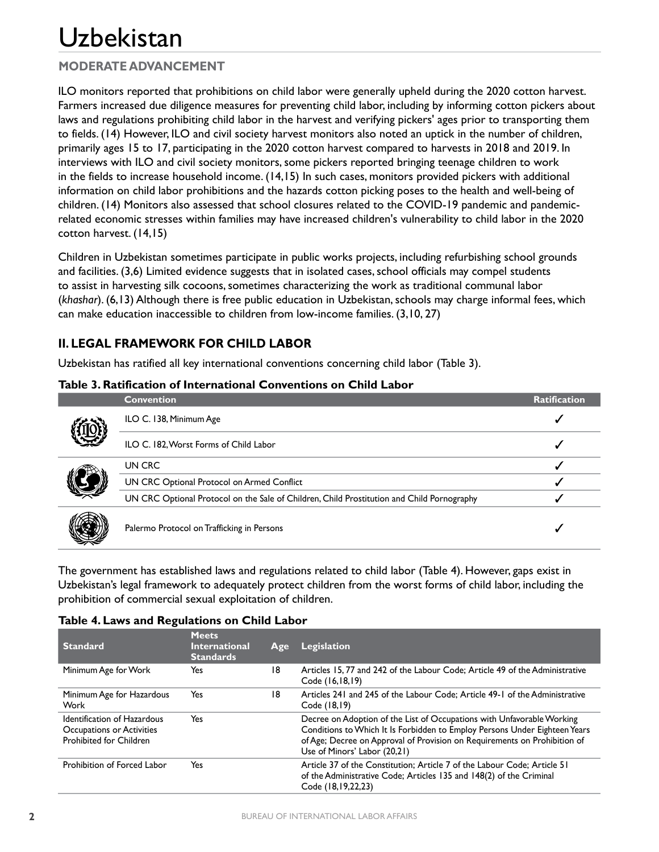## **MODERATE ADVANCEMENT**

ILO monitors reported that prohibitions on child labor were generally upheld during the 2020 cotton harvest. Farmers increased due diligence measures for preventing child labor, including by informing cotton pickers about laws and regulations prohibiting child labor in the harvest and verifying pickers' ages prior to transporting them to fields. (14) However, ILO and civil society harvest monitors also noted an uptick in the number of children, primarily ages 15 to 17, participating in the 2020 cotton harvest compared to harvests in 2018 and 2019. In interviews with ILO and civil society monitors, some pickers reported bringing teenage children to work in the fields to increase household income. (14,15) In such cases, monitors provided pickers with additional information on child labor prohibitions and the hazards cotton picking poses to the health and well-being of children. (14) Monitors also assessed that school closures related to the COVID-19 pandemic and pandemicrelated economic stresses within families may have increased children's vulnerability to child labor in the 2020 cotton harvest. (14,15)

Children in Uzbekistan sometimes participate in public works projects, including refurbishing school grounds and facilities. (3,6) Limited evidence suggests that in isolated cases, school officials may compel students to assist in harvesting silk cocoons, sometimes characterizing the work as traditional communal labor (*khashar*). (6,13) Although there is free public education in Uzbekistan, schools may charge informal fees, which can make education inaccessible to children from low-income families. (3,10, 27)

## **II. LEGAL FRAMEWORK FOR CHILD LABOR**

Uzbekistan has ratified all key international conventions concerning child labor (Table 3).

| Tabic J. Nathitatibli of filterhational Conventions on Child Labor |                                                                                            |                     |
|--------------------------------------------------------------------|--------------------------------------------------------------------------------------------|---------------------|
|                                                                    | <b>Convention</b>                                                                          | <b>Ratification</b> |
|                                                                    | ILO C. 138, Minimum Age                                                                    |                     |
|                                                                    | ILO C. 182, Worst Forms of Child Labor                                                     |                     |
|                                                                    | UN CRC                                                                                     |                     |
|                                                                    | UN CRC Optional Protocol on Armed Conflict                                                 |                     |
|                                                                    | UN CRC Optional Protocol on the Sale of Children, Child Prostitution and Child Pornography |                     |
|                                                                    | Palermo Protocol on Trafficking in Persons                                                 |                     |

#### **Table 3. Ratification of International Conventions on Child Labor**

The government has established laws and regulations related to child labor (Table 4). However, gaps exist in Uzbekistan's legal framework to adequately protect children from the worst forms of child labor, including the prohibition of commercial sexual exploitation of children.

#### **Table 4. Laws and Regulations on Child Labor**

| <b>Standard</b>                                                                     | <b>Meets</b><br><b>International</b><br><b>Standards</b> | Age | Legislation                                                                                                                                                                                                                                                       |
|-------------------------------------------------------------------------------------|----------------------------------------------------------|-----|-------------------------------------------------------------------------------------------------------------------------------------------------------------------------------------------------------------------------------------------------------------------|
| Minimum Age for Work                                                                | Yes                                                      | 18  | Articles 15, 77 and 242 of the Labour Code; Article 49 of the Administrative<br>Code (16,18,19)                                                                                                                                                                   |
| Minimum Age for Hazardous<br>Work                                                   | Yes                                                      | 18  | Articles 241 and 245 of the Labour Code; Article 49-1 of the Administrative<br>Code (18,19)                                                                                                                                                                       |
| Identification of Hazardous<br>Occupations or Activities<br>Prohibited for Children | Yes                                                      |     | Decree on Adoption of the List of Occupations with Unfavorable Working<br>Conditions to Which It Is Forbidden to Employ Persons Under Eighteen Years<br>of Age; Decree on Approval of Provision on Requirements on Prohibition of<br>Use of Minors' Labor (20,21) |
| Prohibition of Forced Labor                                                         | Yes                                                      |     | Article 37 of the Constitution; Article 7 of the Labour Code; Article 51<br>of the Administrative Code; Articles 135 and 148(2) of the Criminal<br>Code (18,19,22,23)                                                                                             |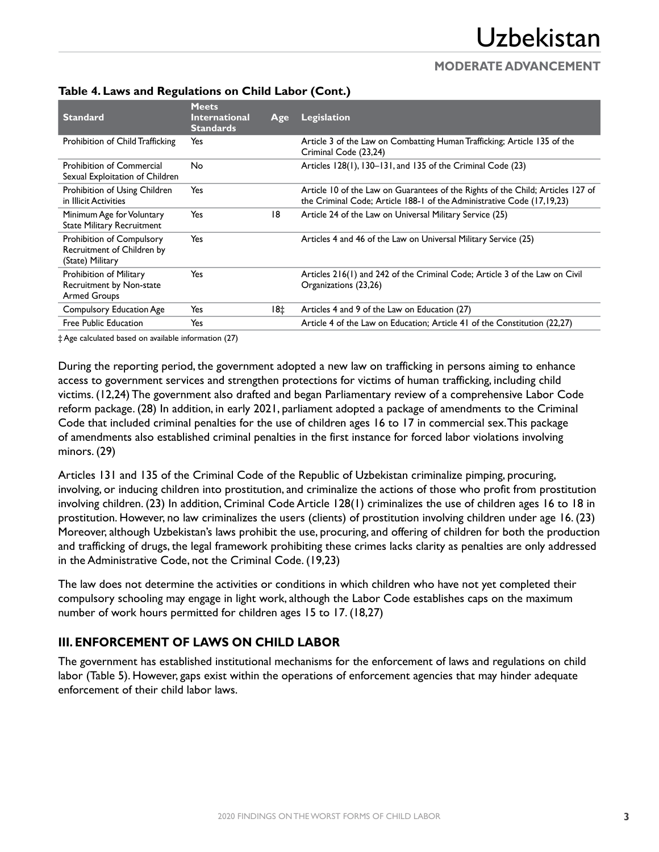## **MODERATE ADVANCEMENT**

| <b>Standard</b>                                                                    | <b>Meets</b><br><b>International</b><br><b>Standards</b> | Age | <b>Legislation</b>                                                                                                                                        |
|------------------------------------------------------------------------------------|----------------------------------------------------------|-----|-----------------------------------------------------------------------------------------------------------------------------------------------------------|
| Prohibition of Child Trafficking                                                   | Yes                                                      |     | Article 3 of the Law on Combatting Human Trafficking; Article 135 of the<br>Criminal Code (23,24)                                                         |
| <b>Prohibition of Commercial</b><br>Sexual Exploitation of Children                | No                                                       |     | Articles 128(1), 130-131, and 135 of the Criminal Code (23)                                                                                               |
| Prohibition of Using Children<br>in Illicit Activities                             | Yes                                                      |     | Article 10 of the Law on Guarantees of the Rights of the Child; Articles 127 of<br>the Criminal Code; Article 188-1 of the Administrative Code (17,19,23) |
| Minimum Age for Voluntary<br><b>State Military Recruitment</b>                     | Yes                                                      | 18  | Article 24 of the Law on Universal Military Service (25)                                                                                                  |
| <b>Prohibition of Compulsory</b><br>Recruitment of Children by<br>(State) Military | Yes                                                      |     | Articles 4 and 46 of the Law on Universal Military Service (25)                                                                                           |
| Prohibition of Military<br>Recruitment by Non-state<br><b>Armed Groups</b>         | Yes                                                      |     | Articles 216(1) and 242 of the Criminal Code; Article 3 of the Law on Civil<br>Organizations (23,26)                                                      |
| <b>Compulsory Education Age</b>                                                    | Yes                                                      | 18‡ | Articles 4 and 9 of the Law on Education (27)                                                                                                             |
| Free Public Education                                                              | Yes                                                      |     | Article 4 of the Law on Education; Article 41 of the Constitution (22,27)                                                                                 |

## **Table 4. Laws and Regulations on Child Labor (Cont.)**

‡ Age calculated based on available information (27)

During the reporting period, the government adopted a new law on trafficking in persons aiming to enhance access to government services and strengthen protections for victims of human trafficking, including child victims. (12,24) The government also drafted and began Parliamentary review of a comprehensive Labor Code reform package. (28) In addition, in early 2021, parliament adopted a package of amendments to the Criminal Code that included criminal penalties for the use of children ages 16 to 17 in commercial sex. This package of amendments also established criminal penalties in the first instance for forced labor violations involving minors. (29)

Articles 131 and 135 of the Criminal Code of the Republic of Uzbekistan criminalize pimping, procuring, involving, or inducing children into prostitution, and criminalize the actions of those who profit from prostitution involving children. (23) In addition, Criminal Code Article 128(1) criminalizes the use of children ages 16 to 18 in prostitution. However, no law criminalizes the users (clients) of prostitution involving children under age 16. (23) Moreover, although Uzbekistan's laws prohibit the use, procuring, and offering of children for both the production and trafficking of drugs, the legal framework prohibiting these crimes lacks clarity as penalties are only addressed in the Administrative Code, not the Criminal Code. (19,23)

The law does not determine the activities or conditions in which children who have not yet completed their compulsory schooling may engage in light work, although the Labor Code establishes caps on the maximum number of work hours permitted for children ages 15 to 17. (18,27)

## **III. ENFORCEMENT OF LAWS ON CHILD LABOR**

The government has established institutional mechanisms for the enforcement of laws and regulations on child labor (Table 5). However, gaps exist within the operations of enforcement agencies that may hinder adequate enforcement of their child labor laws.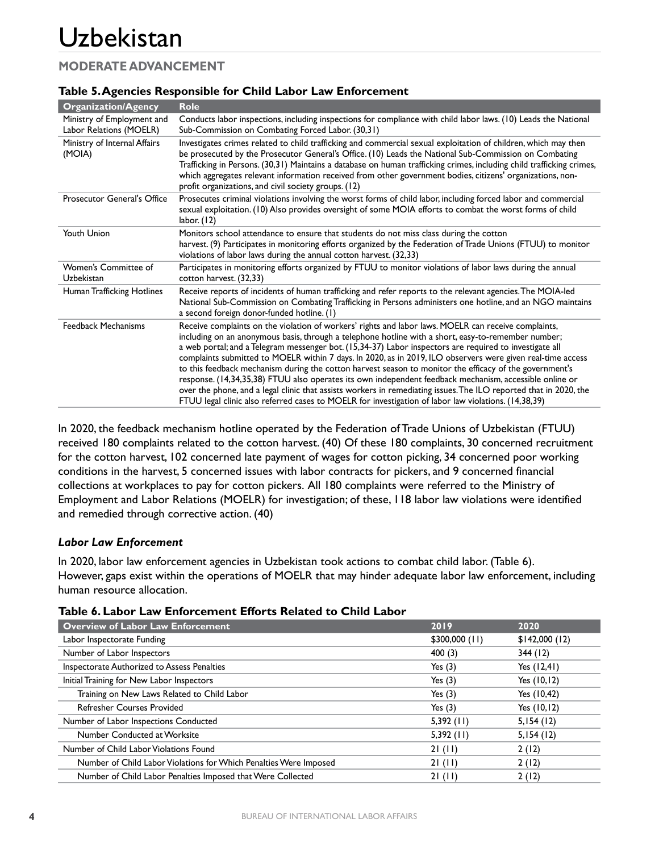## **MODERATE ADVANCEMENT**

| <b>Organization/Agency</b>                            | <b>Role</b>                                                                                                                                                                                                                                                                                                                                                                                                                                                                                                                                                                                                                                                                                                                                                                                                                                                                              |
|-------------------------------------------------------|------------------------------------------------------------------------------------------------------------------------------------------------------------------------------------------------------------------------------------------------------------------------------------------------------------------------------------------------------------------------------------------------------------------------------------------------------------------------------------------------------------------------------------------------------------------------------------------------------------------------------------------------------------------------------------------------------------------------------------------------------------------------------------------------------------------------------------------------------------------------------------------|
| Ministry of Employment and<br>Labor Relations (MOELR) | Conducts labor inspections, including inspections for compliance with child labor laws. (10) Leads the National<br>Sub-Commission on Combating Forced Labor. (30,31)                                                                                                                                                                                                                                                                                                                                                                                                                                                                                                                                                                                                                                                                                                                     |
| Ministry of Internal Affairs<br>(MOIA)                | Investigates crimes related to child trafficking and commercial sexual exploitation of children, which may then<br>be prosecuted by the Prosecutor General's Office. (10) Leads the National Sub-Commission on Combating<br>Trafficking in Persons. (30,31) Maintains a database on human trafficking crimes, including child trafficking crimes,<br>which aggregates relevant information received from other government bodies, citizens' organizations, non-<br>profit organizations, and civil society groups. (12)                                                                                                                                                                                                                                                                                                                                                                  |
| <b>Prosecutor General's Office</b>                    | Prosecutes criminal violations involving the worst forms of child labor, including forced labor and commercial<br>sexual exploitation. (10) Also provides oversight of some MOIA efforts to combat the worst forms of child<br>labor. $(12)$                                                                                                                                                                                                                                                                                                                                                                                                                                                                                                                                                                                                                                             |
| Youth Union                                           | Monitors school attendance to ensure that students do not miss class during the cotton<br>harvest. (9) Participates in monitoring efforts organized by the Federation of Trade Unions (FTUU) to monitor<br>violations of labor laws during the annual cotton harvest. (32,33)                                                                                                                                                                                                                                                                                                                                                                                                                                                                                                                                                                                                            |
| Women's Committee of<br>Uzbekistan                    | Participates in monitoring efforts organized by FTUU to monitor violations of labor laws during the annual<br>cotton harvest. (32,33)                                                                                                                                                                                                                                                                                                                                                                                                                                                                                                                                                                                                                                                                                                                                                    |
| Human Trafficking Hotlines                            | Receive reports of incidents of human trafficking and refer reports to the relevant agencies. The MOIA-led<br>National Sub-Commission on Combating Trafficking in Persons administers one hotline, and an NGO maintains<br>a second foreign donor-funded hotline. (1)                                                                                                                                                                                                                                                                                                                                                                                                                                                                                                                                                                                                                    |
| <b>Feedback Mechanisms</b>                            | Receive complaints on the violation of workers' rights and labor laws. MOELR can receive complaints,<br>including on an anonymous basis, through a telephone hotline with a short, easy-to-remember number;<br>a web portal; and a Telegram messenger bot. (15,34-37) Labor inspectors are required to investigate all<br>complaints submitted to MOELR within 7 days. In 2020, as in 2019, ILO observers were given real-time access<br>to this feedback mechanism during the cotton harvest season to monitor the efficacy of the government's<br>response. (14,34,35,38) FTUU also operates its own independent feedback mechanism, accessible online or<br>over the phone, and a legal clinic that assists workers in remediating issues. The ILO reported that in 2020, the<br>FTUU legal clinic also referred cases to MOELR for investigation of labor law violations. (14,38,39) |

#### **Table 5. Agencies Responsible for Child Labor Law Enforcement**

In 2020, the feedback mechanism hotline operated by the Federation of Trade Unions of Uzbekistan (FTUU) received 180 complaints related to the cotton harvest. (40) Of these 180 complaints, 30 concerned recruitment for the cotton harvest, 102 concerned late payment of wages for cotton picking, 34 concerned poor working conditions in the harvest, 5 concerned issues with labor contracts for pickers, and 9 concerned financial collections at workplaces to pay for cotton pickers. All 180 complaints were referred to the Ministry of Employment and Labor Relations (MOELR) for investigation; of these, 118 labor law violations were identified and remedied through corrective action. (40)

#### *Labor Law Enforcement*

In 2020, labor law enforcement agencies in Uzbekistan took actions to combat child labor. (Table 6). However, gaps exist within the operations of MOELR that may hinder adequate labor law enforcement, including human resource allocation.

| Table 6. Labor Law Enforcement Efforts Related to Child Labor |  |
|---------------------------------------------------------------|--|
|---------------------------------------------------------------|--|

| <b>Overview of Labor Law Enforcement</b>                          | 2019            | 2020           |
|-------------------------------------------------------------------|-----------------|----------------|
| Labor Inspectorate Funding                                        | $$300,000$ (11) | \$142,000(12)  |
| Number of Labor Inspectors                                        | 400(3)          | 344(12)        |
| Inspectorate Authorized to Assess Penalties                       | Yes $(3)$       | Yes $(12, 41)$ |
| Initial Training for New Labor Inspectors                         | Yes $(3)$       | Yes $(10, 12)$ |
| Training on New Laws Related to Child Labor                       | Yes $(3)$       | Yes (10,42)    |
| <b>Refresher Courses Provided</b>                                 | Yes $(3)$       | Yes (10,12)    |
| Number of Labor Inspections Conducted                             | 5,392(11)       | 5,154(12)      |
| Number Conducted at Worksite                                      | 5,392(11)       | 5,154(12)      |
| Number of Child Labor Violations Found                            | 21(11)          | 2(12)          |
| Number of Child Labor Violations for Which Penalties Were Imposed | 21(11)          | 2(12)          |
| Number of Child Labor Penalties Imposed that Were Collected       | 21(11)          | 2(12)          |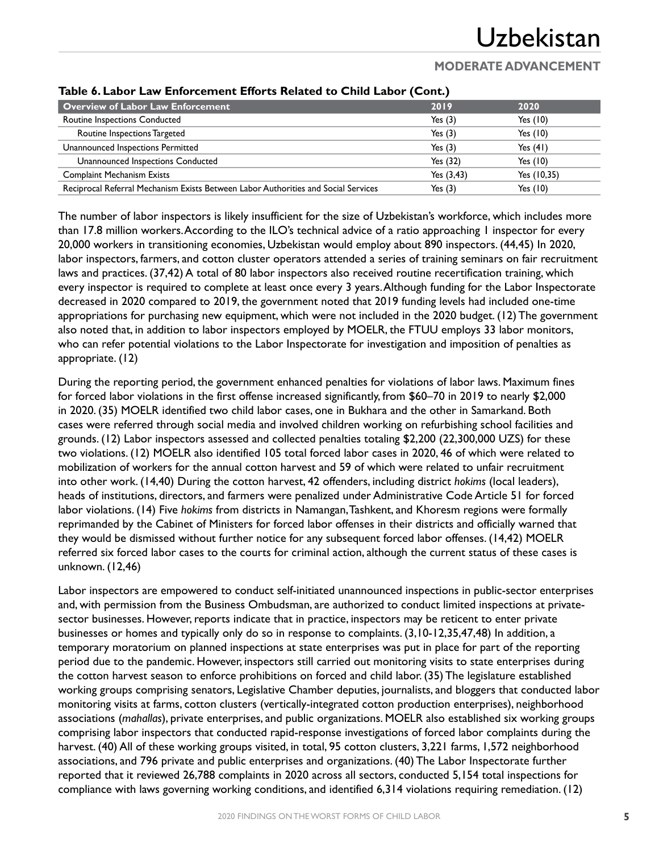## **MODERATE ADVANCEMENT**

| <b>Overview of Labor Law Enforcement</b>                                           | 2019          | 2020        |
|------------------------------------------------------------------------------------|---------------|-------------|
| Routine Inspections Conducted                                                      | Yes $(3)$     | Yes $(10)$  |
| Routine Inspections Targeted                                                       | Yes $(3)$     | Yes $(10)$  |
| Unannounced Inspections Permitted                                                  | Yes $(3)$     | Yes $(41)$  |
| Unannounced Inspections Conducted                                                  | Yes $(32)$    | Yes $(10)$  |
| <b>Complaint Mechanism Exists</b>                                                  | Yes $(3, 43)$ | Yes (10,35) |
| Reciprocal Referral Mechanism Exists Between Labor Authorities and Social Services | Yes $(3)$     | Yes (10)    |

#### **Table 6. Labor Law Enforcement Efforts Related to Child Labor (Cont.)**

The number of labor inspectors is likely insufficient for the size of Uzbekistan's workforce, which includes more than 17.8 million workers. According to the ILO's technical advice of a ratio approaching 1 inspector for every 20,000 workers in transitioning economies, Uzbekistan would employ about 890 inspectors. (44,45) In 2020, labor inspectors, farmers, and cotton cluster operators attended a series of training seminars on fair recruitment laws and practices. (37,42) A total of 80 labor inspectors also received routine recertification training, which every inspector is required to complete at least once every 3 years. Although funding for the Labor Inspectorate decreased in 2020 compared to 2019, the government noted that 2019 funding levels had included one-time appropriations for purchasing new equipment, which were not included in the 2020 budget. (12) The government also noted that, in addition to labor inspectors employed by MOELR, the FTUU employs 33 labor monitors, who can refer potential violations to the Labor Inspectorate for investigation and imposition of penalties as appropriate. (12)

During the reporting period, the government enhanced penalties for violations of labor laws. Maximum fines for forced labor violations in the first offense increased significantly, from \$60–70 in 2019 to nearly \$2,000 in 2020. (35) MOELR identified two child labor cases, one in Bukhara and the other in Samarkand. Both cases were referred through social media and involved children working on refurbishing school facilities and grounds. (12) Labor inspectors assessed and collected penalties totaling \$2,200 (22,300,000 UZS) for these two violations. (12) MOELR also identified 105 total forced labor cases in 2020, 46 of which were related to mobilization of workers for the annual cotton harvest and 59 of which were related to unfair recruitment into other work. (14,40) During the cotton harvest, 42 offenders, including district *hokims* (local leaders), heads of institutions, directors, and farmers were penalized under Administrative Code Article 51 for forced labor violations. (14) Five *hokims* from districts in Namangan, Tashkent, and Khoresm regions were formally reprimanded by the Cabinet of Ministers for forced labor offenses in their districts and officially warned that they would be dismissed without further notice for any subsequent forced labor offenses. (14,42) MOELR referred six forced labor cases to the courts for criminal action, although the current status of these cases is unknown. (12,46)

Labor inspectors are empowered to conduct self-initiated unannounced inspections in public-sector enterprises and, with permission from the Business Ombudsman, are authorized to conduct limited inspections at privatesector businesses. However, reports indicate that in practice, inspectors may be reticent to enter private businesses or homes and typically only do so in response to complaints. (3,10-12,35,47,48) In addition, a temporary moratorium on planned inspections at state enterprises was put in place for part of the reporting period due to the pandemic. However, inspectors still carried out monitoring visits to state enterprises during the cotton harvest season to enforce prohibitions on forced and child labor. (35) The legislature established working groups comprising senators, Legislative Chamber deputies, journalists, and bloggers that conducted labor monitoring visits at farms, cotton clusters (vertically-integrated cotton production enterprises), neighborhood associations (*mahallas*), private enterprises, and public organizations. MOELR also established six working groups comprising labor inspectors that conducted rapid-response investigations of forced labor complaints during the harvest. (40) All of these working groups visited, in total, 95 cotton clusters, 3,221 farms, 1,572 neighborhood associations, and 796 private and public enterprises and organizations. (40) The Labor Inspectorate further reported that it reviewed 26,788 complaints in 2020 across all sectors, conducted 5,154 total inspections for compliance with laws governing working conditions, and identified 6,314 violations requiring remediation. (12)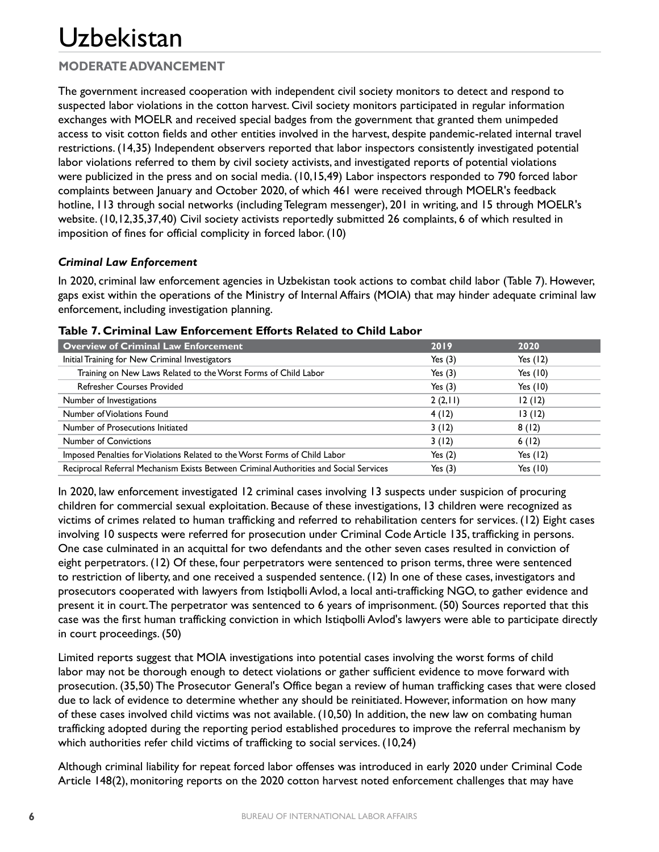## **MODERATE ADVANCEMENT**

The government increased cooperation with independent civil society monitors to detect and respond to suspected labor violations in the cotton harvest. Civil society monitors participated in regular information exchanges with MOELR and received special badges from the government that granted them unimpeded access to visit cotton fields and other entities involved in the harvest, despite pandemic-related internal travel restrictions. (14,35) Independent observers reported that labor inspectors consistently investigated potential labor violations referred to them by civil society activists, and investigated reports of potential violations were publicized in the press and on social media. (10,15,49) Labor inspectors responded to 790 forced labor complaints between January and October 2020, of which 461 were received through MOELR's feedback hotline, 113 through social networks (including Telegram messenger), 201 in writing, and 15 through MOELR's website. (10,12,35,37,40) Civil society activists reportedly submitted 26 complaints, 6 of which resulted in imposition of fines for official complicity in forced labor. (10)

#### *Criminal Law Enforcement*

In 2020, criminal law enforcement agencies in Uzbekistan took actions to combat child labor (Table 7). However, gaps exist within the operations of the Ministry of Internal Affairs (MOIA) that may hinder adequate criminal law enforcement, including investigation planning.

| Overview of Criminal Law Enforcement                                                  | 2019      | 2020       |
|---------------------------------------------------------------------------------------|-----------|------------|
| Initial Training for New Criminal Investigators                                       | Yes $(3)$ | Yes $(12)$ |
| Training on New Laws Related to the Worst Forms of Child Labor                        | Yes $(3)$ | Yes $(10)$ |
| <b>Refresher Courses Provided</b>                                                     | Yes $(3)$ | Yes $(10)$ |
| Number of Investigations                                                              | 2(2,11)   | 12(12)     |
| Number of Violations Found                                                            | 4(12)     | 13(12)     |
| Number of Prosecutions Initiated                                                      | 3(12)     | 8(12)      |
| <b>Number of Convictions</b>                                                          | 3(12)     | 6(12)      |
| Imposed Penalties for Violations Related to the Worst Forms of Child Labor            | Yes $(2)$ | Yes $(12)$ |
| Reciprocal Referral Mechanism Exists Between Criminal Authorities and Social Services | Yes $(3)$ | Yes $(10)$ |

#### **Table 7. Criminal Law Enforcement Efforts Related to Child Labor**

In 2020, law enforcement investigated 12 criminal cases involving 13 suspects under suspicion of procuring children for commercial sexual exploitation. Because of these investigations, 13 children were recognized as victims of crimes related to human trafficking and referred to rehabilitation centers for services. (12) Eight cases involving 10 suspects were referred for prosecution under Criminal Code Article 135, trafficking in persons. One case culminated in an acquittal for two defendants and the other seven cases resulted in conviction of eight perpetrators. (12) Of these, four perpetrators were sentenced to prison terms, three were sentenced to restriction of liberty, and one received a suspended sentence. (12) In one of these cases, investigators and prosecutors cooperated with lawyers from Istiqbolli Avlod, a local anti-trafficking NGO, to gather evidence and present it in court. The perpetrator was sentenced to 6 years of imprisonment. (50) Sources reported that this case was the first human trafficking conviction in which Istiqbolli Avlod's lawyers were able to participate directly in court proceedings. (50)

Limited reports suggest that MOIA investigations into potential cases involving the worst forms of child labor may not be thorough enough to detect violations or gather sufficient evidence to move forward with prosecution. (35,50) The Prosecutor General's Office began a review of human trafficking cases that were closed due to lack of evidence to determine whether any should be reinitiated. However, information on how many of these cases involved child victims was not available. (10,50) In addition, the new law on combating human trafficking adopted during the reporting period established procedures to improve the referral mechanism by which authorities refer child victims of trafficking to social services. (10,24)

Although criminal liability for repeat forced labor offenses was introduced in early 2020 under Criminal Code Article 148(2), monitoring reports on the 2020 cotton harvest noted enforcement challenges that may have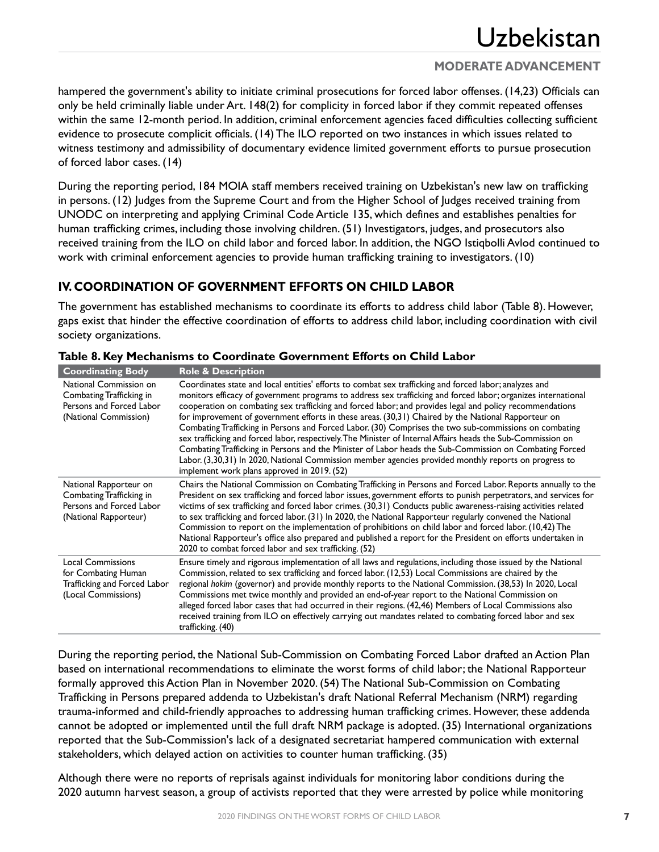### **MODERATE ADVANCEMENT**

hampered the government's ability to initiate criminal prosecutions for forced labor offenses. (14,23) Officials can only be held criminally liable under Art. 148(2) for complicity in forced labor if they commit repeated offenses within the same 12-month period. In addition, criminal enforcement agencies faced difficulties collecting sufficient evidence to prosecute complicit officials. (14) The ILO reported on two instances in which issues related to witness testimony and admissibility of documentary evidence limited government efforts to pursue prosecution of forced labor cases. (14)

During the reporting period, 184 MOIA staff members received training on Uzbekistan's new law on trafficking in persons. (12) Judges from the Supreme Court and from the Higher School of Judges received training from UNODC on interpreting and applying Criminal Code Article 135, which defines and establishes penalties for human trafficking crimes, including those involving children. (51) Investigators, judges, and prosecutors also received training from the ILO on child labor and forced labor. In addition, the NGO Istiqbolli Avlod continued to work with criminal enforcement agencies to provide human trafficking training to investigators. (10)

## **IV. COORDINATION OF GOVERNMENT EFFORTS ON CHILD LABOR**

The government has established mechanisms to coordinate its efforts to address child labor (Table 8). However, gaps exist that hinder the effective coordination of efforts to address child labor, including coordination with civil society organizations.

| <b>Coordinating Body</b>                                                                                | <b>Role &amp; Description</b>                                                                                                                                                                                                                                                                                                                                                                                                                                                                                                                                                                                                                                                                                                                                                                                                                                                                                                           |
|---------------------------------------------------------------------------------------------------------|-----------------------------------------------------------------------------------------------------------------------------------------------------------------------------------------------------------------------------------------------------------------------------------------------------------------------------------------------------------------------------------------------------------------------------------------------------------------------------------------------------------------------------------------------------------------------------------------------------------------------------------------------------------------------------------------------------------------------------------------------------------------------------------------------------------------------------------------------------------------------------------------------------------------------------------------|
| National Commission on<br>Combating Trafficking in<br>Persons and Forced Labor<br>(National Commission) | Coordinates state and local entities' efforts to combat sex trafficking and forced labor; analyzes and<br>monitors efficacy of government programs to address sex trafficking and forced labor; organizes international<br>cooperation on combating sex trafficking and forced labor; and provides legal and policy recommendations<br>for improvement of government efforts in these areas. (30,31) Chaired by the National Rapporteur on<br>Combating Trafficking in Persons and Forced Labor. (30) Comprises the two sub-commissions on combating<br>sex trafficking and forced labor, respectively. The Minister of Internal Affairs heads the Sub-Commission on<br>Combating Trafficking in Persons and the Minister of Labor heads the Sub-Commission on Combating Forced<br>Labor. (3,30,31) In 2020, National Commission member agencies provided monthly reports on progress to<br>implement work plans approved in 2019. (52) |
| National Rapporteur on<br>Combating Trafficking in<br>Persons and Forced Labor<br>(National Rapporteur) | Chairs the National Commission on Combating Trafficking in Persons and Forced Labor. Reports annually to the<br>President on sex trafficking and forced labor issues, government efforts to punish perpetrators, and services for<br>victims of sex trafficking and forced labor crimes. (30,31) Conducts public awareness-raising activities related<br>to sex trafficking and forced labor. (31) In 2020, the National Rapporteur regularly convened the National<br>Commission to report on the implementation of prohibitions on child labor and forced labor. (10,42) The<br>National Rapporteur's office also prepared and published a report for the President on efforts undertaken in<br>2020 to combat forced labor and sex trafficking. (52)                                                                                                                                                                                 |
| <b>Local Commissions</b><br>for Combating Human<br>Trafficking and Forced Labor<br>(Local Commissions)  | Ensure timely and rigorous implementation of all laws and regulations, including those issued by the National<br>Commission, related to sex trafficking and forced labor. (12,53) Local Commissions are chaired by the<br>regional hokim (governor) and provide monthly reports to the National Commission. (38,53) In 2020, Local<br>Commissions met twice monthly and provided an end-of-year report to the National Commission on<br>alleged forced labor cases that had occurred in their regions. (42,46) Members of Local Commissions also<br>received training from ILO on effectively carrying out mandates related to combating forced labor and sex<br>trafficking. (40)                                                                                                                                                                                                                                                      |

#### **Table 8. Key Mechanisms to Coordinate Government Efforts on Child Labor**

During the reporting period, the National Sub-Commission on Combating Forced Labor drafted an Action Plan based on international recommendations to eliminate the worst forms of child labor; the National Rapporteur formally approved this Action Plan in November 2020. (54) The National Sub-Commission on Combating Trafficking in Persons prepared addenda to Uzbekistan's draft National Referral Mechanism (NRM) regarding trauma-informed and child-friendly approaches to addressing human trafficking crimes. However, these addenda cannot be adopted or implemented until the full draft NRM package is adopted. (35) International organizations reported that the Sub-Commission's lack of a designated secretariat hampered communication with external stakeholders, which delayed action on activities to counter human trafficking. (35)

Although there were no reports of reprisals against individuals for monitoring labor conditions during the 2020 autumn harvest season, a group of activists reported that they were arrested by police while monitoring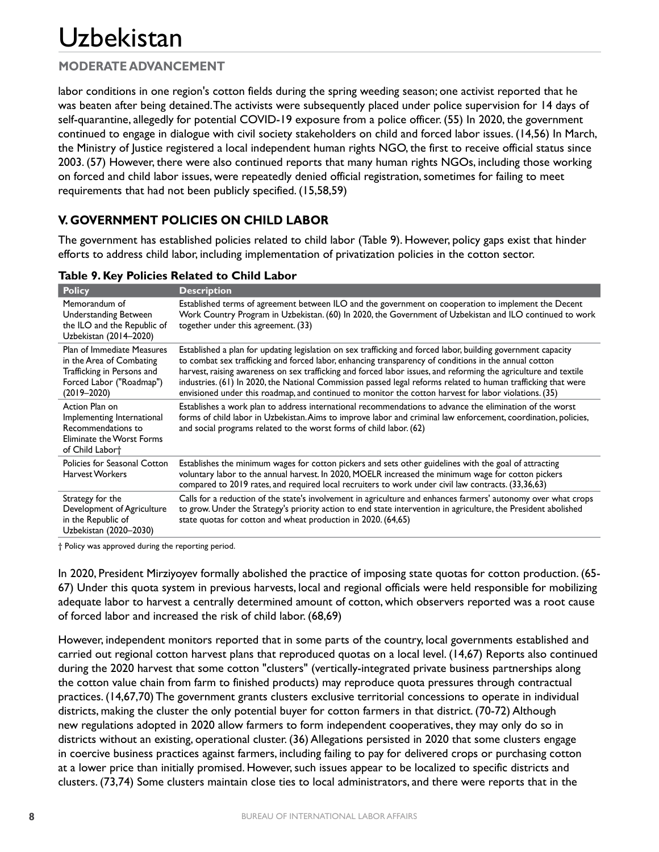## **MODERATE ADVANCEMENT**

labor conditions in one region's cotton fields during the spring weeding season; one activist reported that he was beaten after being detained. The activists were subsequently placed under police supervision for 14 days of self-quarantine, allegedly for potential COVID-19 exposure from a police officer. (55) In 2020, the government continued to engage in dialogue with civil society stakeholders on child and forced labor issues. (14,56) In March, the Ministry of Justice registered a local independent human rights NGO, the first to receive official status since 2003. (57) However, there were also continued reports that many human rights NGOs, including those working on forced and child labor issues, were repeatedly denied official registration, sometimes for failing to meet requirements that had not been publicly specified. (15,58,59)

## **V. GOVERNMENT POLICIES ON CHILD LABOR**

The government has established policies related to child labor (Table 9). However, policy gaps exist that hinder efforts to address child labor, including implementation of privatization policies in the cotton sector.

| <b>Policy</b>                                                                                                                       | <b>Description</b>                                                                                                                                                                                                                                                                                                                                                                                                                                                                                                                                                   |
|-------------------------------------------------------------------------------------------------------------------------------------|----------------------------------------------------------------------------------------------------------------------------------------------------------------------------------------------------------------------------------------------------------------------------------------------------------------------------------------------------------------------------------------------------------------------------------------------------------------------------------------------------------------------------------------------------------------------|
| Memorandum of<br><b>Understanding Between</b><br>the ILO and the Republic of<br>Uzbekistan (2014–2020)                              | Established terms of agreement between ILO and the government on cooperation to implement the Decent<br>Work Country Program in Uzbekistan. (60) In 2020, the Government of Uzbekistan and ILO continued to work<br>together under this agreement. (33)                                                                                                                                                                                                                                                                                                              |
| Plan of Immediate Measures<br>in the Area of Combating<br>Trafficking in Persons and<br>Forced Labor ("Roadmap")<br>$(2019 - 2020)$ | Established a plan for updating legislation on sex trafficking and forced labor, building government capacity<br>to combat sex trafficking and forced labor, enhancing transparency of conditions in the annual cotton<br>harvest, raising awareness on sex trafficking and forced labor issues, and reforming the agriculture and textile<br>industries. (61) In 2020, the National Commission passed legal reforms related to human trafficking that were<br>envisioned under this roadmap, and continued to monitor the cotton harvest for labor violations. (35) |
| Action Plan on<br>Implementing International<br>Recommendations to<br><b>Eliminate the Worst Forms</b><br>of Child Labort           | Establishes a work plan to address international recommendations to advance the elimination of the worst<br>forms of child labor in Uzbekistan. Aims to improve labor and criminal law enforcement, coordination, policies,<br>and social programs related to the worst forms of child labor. (62)                                                                                                                                                                                                                                                                   |
| Policies for Seasonal Cotton<br><b>Harvest Workers</b>                                                                              | Establishes the minimum wages for cotton pickers and sets other guidelines with the goal of attracting<br>voluntary labor to the annual harvest. In 2020, MOELR increased the minimum wage for cotton pickers<br>compared to 2019 rates, and required local recruiters to work under civil law contracts. (33,36,63)                                                                                                                                                                                                                                                 |
| Strategy for the<br>Development of Agriculture<br>in the Republic of<br>Uzbekistan (2020-2030)                                      | Calls for a reduction of the state's involvement in agriculture and enhances farmers' autonomy over what crops<br>to grow. Under the Strategy's priority action to end state intervention in agriculture, the President abolished<br>state quotas for cotton and wheat production in 2020. (64,65)                                                                                                                                                                                                                                                                   |

#### **Table 9. Key Policies Related to Child Labor**

† Policy was approved during the reporting period.

In 2020, President Mirziyoyev formally abolished the practice of imposing state quotas for cotton production. (65- 67) Under this quota system in previous harvests, local and regional officials were held responsible for mobilizing adequate labor to harvest a centrally determined amount of cotton, which observers reported was a root cause of forced labor and increased the risk of child labor. (68,69)

However, independent monitors reported that in some parts of the country, local governments established and carried out regional cotton harvest plans that reproduced quotas on a local level. (14,67) Reports also continued during the 2020 harvest that some cotton "clusters" (vertically-integrated private business partnerships along the cotton value chain from farm to finished products) may reproduce quota pressures through contractual practices. (14,67,70) The government grants clusters exclusive territorial concessions to operate in individual districts, making the cluster the only potential buyer for cotton farmers in that district. (70-72) Although new regulations adopted in 2020 allow farmers to form independent cooperatives, they may only do so in districts without an existing, operational cluster. (36) Allegations persisted in 2020 that some clusters engage in coercive business practices against farmers, including failing to pay for delivered crops or purchasing cotton at a lower price than initially promised. However, such issues appear to be localized to specific districts and clusters. (73,74) Some clusters maintain close ties to local administrators, and there were reports that in the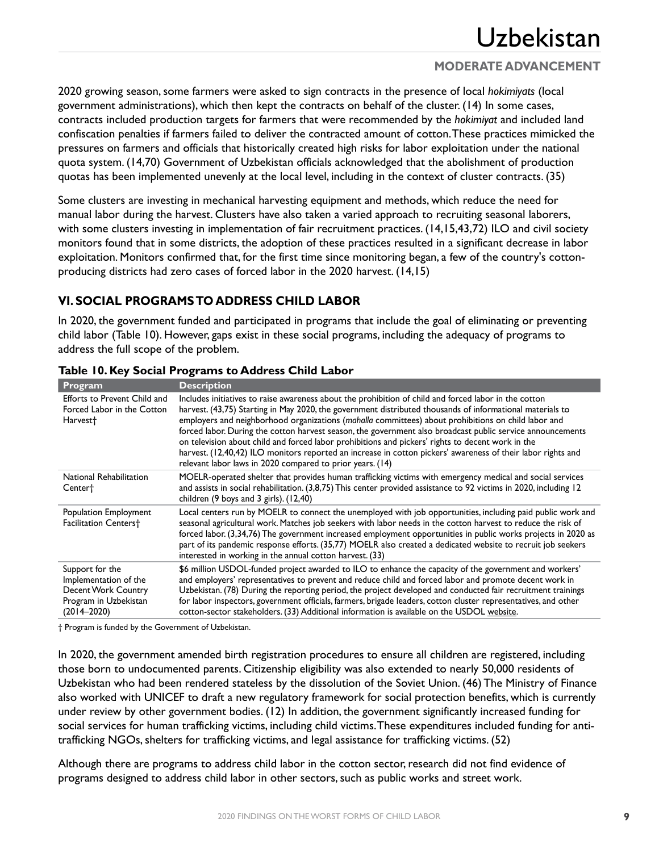## **MODERATE ADVANCEMENT**

2020 growing season, some farmers were asked to sign contracts in the presence of local *hokimiyats* (local government administrations), which then kept the contracts on behalf of the cluster. (14) In some cases, contracts included production targets for farmers that were recommended by the *hokimiyat* and included land confiscation penalties if farmers failed to deliver the contracted amount of cotton. These practices mimicked the pressures on farmers and officials that historically created high risks for labor exploitation under the national quota system. (14,70) Government of Uzbekistan officials acknowledged that the abolishment of production quotas has been implemented unevenly at the local level, including in the context of cluster contracts. (35)

Some clusters are investing in mechanical harvesting equipment and methods, which reduce the need for manual labor during the harvest. Clusters have also taken a varied approach to recruiting seasonal laborers, with some clusters investing in implementation of fair recruitment practices. (14,15,43,72) ILO and civil society monitors found that in some districts, the adoption of these practices resulted in a significant decrease in labor exploitation. Monitors confirmed that, for the first time since monitoring began, a few of the country's cottonproducing districts had zero cases of forced labor in the 2020 harvest. (14,15)

## **VI. SOCIAL PROGRAMS TO ADDRESS CHILD LABOR**

In 2020, the government funded and participated in programs that include the goal of eliminating or preventing child labor (Table 10). However, gaps exist in these social programs, including the adequacy of programs to address the full scope of the problem.

| Program                                                                                                     | <b>Description</b>                                                                                                                                                                                                                                                                                                                                                                                                                                                                                                                                                                                                                                                                                                        |
|-------------------------------------------------------------------------------------------------------------|---------------------------------------------------------------------------------------------------------------------------------------------------------------------------------------------------------------------------------------------------------------------------------------------------------------------------------------------------------------------------------------------------------------------------------------------------------------------------------------------------------------------------------------------------------------------------------------------------------------------------------------------------------------------------------------------------------------------------|
| <b>Efforts to Prevent Child and</b><br>Forced Labor in the Cotton<br>Harvest <sup>+</sup>                   | Includes initiatives to raise awareness about the prohibition of child and forced labor in the cotton<br>harvest. (43,75) Starting in May 2020, the government distributed thousands of informational materials to<br>employers and neighborhood organizations (mahalla committees) about prohibitions on child labor and<br>forced labor. During the cotton harvest season, the government also broadcast public service announcements<br>on television about child and forced labor prohibitions and pickers' rights to decent work in the<br>harvest. (12,40,42) ILO monitors reported an increase in cotton pickers' awareness of their labor rights and<br>relevant labor laws in 2020 compared to prior years. (14) |
| National Rehabilitation<br>Center <sup>+</sup>                                                              | MOELR-operated shelter that provides human trafficking victims with emergency medical and social services<br>and assists in social rehabilitation. (3,8,75) This center provided assistance to 92 victims in 2020, including 12<br>children $(9$ boys and $3$ girls). $(12,40)$                                                                                                                                                                                                                                                                                                                                                                                                                                           |
| Population Employment<br><b>Facilitation Centers†</b>                                                       | Local centers run by MOELR to connect the unemployed with job opportunities, including paid public work and<br>seasonal agricultural work. Matches job seekers with labor needs in the cotton harvest to reduce the risk of<br>forced labor. (3,34,76) The government increased employment opportunities in public works projects in 2020 as<br>part of its pandemic response efforts. (35,77) MOELR also created a dedicated website to recruit job seekers<br>interested in working in the annual cotton harvest. (33)                                                                                                                                                                                                  |
| Support for the<br>Implementation of the<br>Decent Work Country<br>Program in Uzbekistan<br>$(2014 - 2020)$ | \$6 million USDOL-funded project awarded to ILO to enhance the capacity of the government and workers'<br>and employers' representatives to prevent and reduce child and forced labor and promote decent work in<br>Uzbekistan. (78) During the reporting period, the project developed and conducted fair recruitment trainings<br>for labor inspectors, government officials, farmers, brigade leaders, cotton cluster representatives, and other<br>cotton-sector stakeholders. (33) Additional information is available on the USDOL website.                                                                                                                                                                         |

#### **Table 10. Key Social Programs to Address Child Labor**

† Program is funded by the Government of Uzbekistan.

In 2020, the government amended birth registration procedures to ensure all children are registered, including those born to undocumented parents. Citizenship eligibility was also extended to nearly 50,000 residents of Uzbekistan who had been rendered stateless by the dissolution of the Soviet Union. (46) The Ministry of Finance also worked with UNICEF to draft a new regulatory framework for social protection benefits, which is currently under review by other government bodies. (12) In addition, the government significantly increased funding for social services for human trafficking victims, including child victims. These expenditures included funding for antitrafficking NGOs, shelters for trafficking victims, and legal assistance for trafficking victims. (52)

Although there are programs to address child labor in the cotton sector, research did not find evidence of programs designed to address child labor in other sectors, such as public works and street work.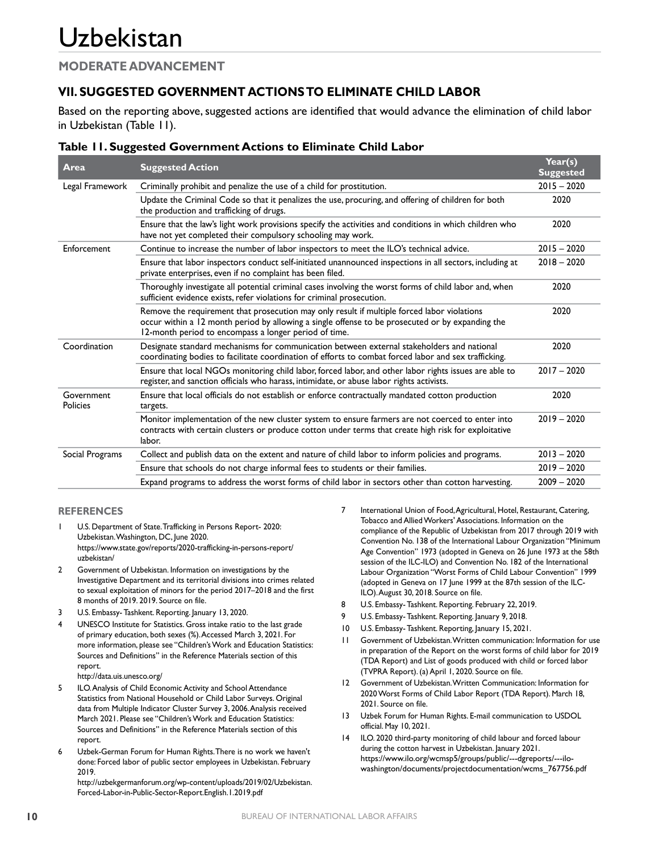#### **MODERATE ADVANCEMENT**

## **VII. SUGGESTED GOVERNMENT ACTIONS TO ELIMINATE CHILD LABOR**

Based on the reporting above, suggested actions are identified that would advance the elimination of child labor in Uzbekistan (Table 11).

| Table 11. Suggested Government Actions to Eliminate Child Labor |  |  |  |
|-----------------------------------------------------------------|--|--|--|
|-----------------------------------------------------------------|--|--|--|

| Area                   | <b>Suggested Action</b>                                                                                                                                                                                                                                  | Year(s)<br><b>Suggested</b> |
|------------------------|----------------------------------------------------------------------------------------------------------------------------------------------------------------------------------------------------------------------------------------------------------|-----------------------------|
| Legal Framework        | Criminally prohibit and penalize the use of a child for prostitution.                                                                                                                                                                                    | $2015 - 2020$               |
|                        | Update the Criminal Code so that it penalizes the use, procuring, and offering of children for both<br>the production and trafficking of drugs.                                                                                                          | 2020                        |
|                        | Ensure that the law's light work provisions specify the activities and conditions in which children who<br>have not yet completed their compulsory schooling may work.                                                                                   | 2020                        |
| Enforcement            | Continue to increase the number of labor inspectors to meet the ILO's technical advice.                                                                                                                                                                  | $2015 - 2020$               |
|                        | Ensure that labor inspectors conduct self-initiated unannounced inspections in all sectors, including at<br>private enterprises, even if no complaint has been filed.                                                                                    | $2018 - 2020$               |
|                        | Thoroughly investigate all potential criminal cases involving the worst forms of child labor and, when<br>sufficient evidence exists, refer violations for criminal prosecution.                                                                         | 2020                        |
|                        | Remove the requirement that prosecution may only result if multiple forced labor violations<br>occur within a 12 month period by allowing a single offense to be prosecuted or by expanding the<br>12-month period to encompass a longer period of time. | 2020                        |
| Coordination           | Designate standard mechanisms for communication between external stakeholders and national<br>coordinating bodies to facilitate coordination of efforts to combat forced labor and sex trafficking.                                                      | 2020                        |
|                        | Ensure that local NGOs monitoring child labor, forced labor, and other labor rights issues are able to<br>register, and sanction officials who harass, intimidate, or abuse labor rights activists.                                                      | $2017 - 2020$               |
| Government<br>Policies | Ensure that local officials do not establish or enforce contractually mandated cotton production<br>targets.                                                                                                                                             | 2020                        |
|                        | Monitor implementation of the new cluster system to ensure farmers are not coerced to enter into<br>contracts with certain clusters or produce cotton under terms that create high risk for exploitative<br>labor.                                       | $2019 - 2020$               |
| Social Programs        | Collect and publish data on the extent and nature of child labor to inform policies and programs.                                                                                                                                                        | $2013 - 2020$               |
|                        | Ensure that schools do not charge informal fees to students or their families.                                                                                                                                                                           | $2019 - 2020$               |
|                        | Expand programs to address the worst forms of child labor in sectors other than cotton harvesting.                                                                                                                                                       | $2009 - 2020$               |

#### **REFERENCES**

- U.S. Department of State. Trafficking in Persons Report- 2020: Uzbekistan. Washington, DC, June 2020. [https://www.state.gov/reports/2020-trafficking-in-persons-report/](https://www.state.gov/reports/2020-trafficking-in-persons-report/uzbekistan/) [uzbekistan/](https://www.state.gov/reports/2020-trafficking-in-persons-report/uzbekistan/)
- 2 Government of Uzbekistan. Information on investigations by the Investigative Department and its territorial divisions into crimes related to sexual exploitation of minors for the period 2017–2018 and the first 8 months of 2019. 2019. Source on file.
- 3 U.S. Embassy- Tashkent. Reporting. January 13, 2020.
- 4 UNESCO Institute for Statistics. Gross intake ratio to the last grade of primary education, both sexes (%). Accessed March 3, 2021. For more information, please see "Children's Work and Education Statistics: Sources and Definitions" in the Reference Materials section of this report.

<http://data.uis.unesco.org/>

- 5 ILO. Analysis of Child Economic Activity and School Attendance Statistics from National Household or Child Labor Surveys. Original data from Multiple Indicator Cluster Survey 3, 2006. Analysis received March 2021. Please see "Children's Work and Education Statistics: Sources and Definitions" in the Reference Materials section of this report.
- 6 Uzbek-German Forum for Human Rights. There is no work we haven't done: Forced labor of public sector employees in Uzbekistan. February 2019.

[http://uzbekgermanforum.org/wp-content/uploads/2019/02/Uzbekistan.](http://uzbekgermanforum.org/wp-content/uploads/2019/02/Uzbekistan.Forced-Labor-in-Public-Sector-Report.English.1.2019.pdf) [Forced-Labor-in-Public-Sector-Report.English.1.2019.pdf](http://uzbekgermanforum.org/wp-content/uploads/2019/02/Uzbekistan.Forced-Labor-in-Public-Sector-Report.English.1.2019.pdf)

- 7 International Union of Food, Agricultural, Hotel, Restaurant, Catering, Tobacco and Allied Workers' Associations. Information on the compliance of the Republic of Uzbekistan from 2017 through 2019 with Convention No. 138 of the International Labour Organization "Minimum Age Convention" 1973 (adopted in Geneva on 26 June 1973 at the 58th session of the ILC-ILO) and Convention No. 182 of the International Labour Organization "Worst Forms of Child Labour Convention" 1999 (adopted in Geneva on 17 June 1999 at the 87th session of the ILC-ILO). August 30, 2018. Source on file.
- 8 U.S. Embassy- Tashkent. Reporting. February 22, 2019.
- 9 U.S. Embassy- Tashkent. Reporting. January 9, 2018.
- 10 U.S. Embassy- Tashkent. Reporting, January 15, 2021.
- 11 Government of Uzbekistan. Written communication: Information for use in preparation of the Report on the worst forms of child labor for 2019 (TDA Report) and List of goods produced with child or forced labor (TVPRA Report). (a) April 1, 2020. Source on file.
- 12 Government of Uzbekistan. Written Communication: Information for 2020 Worst Forms of Child Labor Report (TDA Report). March 18, 2021. Source on file.
- 13 Uzbek Forum for Human Rights. E-mail communication to USDOL official. May 10, 2021.
- 14 ILO. 2020 third-party monitoring of child labour and forced labour during the cotton harvest in Uzbekistan. January 2021. [https://www.ilo.org/wcmsp5/groups/public/---dgreports/---ilo](https://www.ilo.org/wcmsp5/groups/public/---dgreports/---ilo-washington/documents/projectdocumentation/wcms_767756.pdf)[washington/documents/projectdocumentation/wcms\\_767756.pdf](https://www.ilo.org/wcmsp5/groups/public/---dgreports/---ilo-washington/documents/projectdocumentation/wcms_767756.pdf)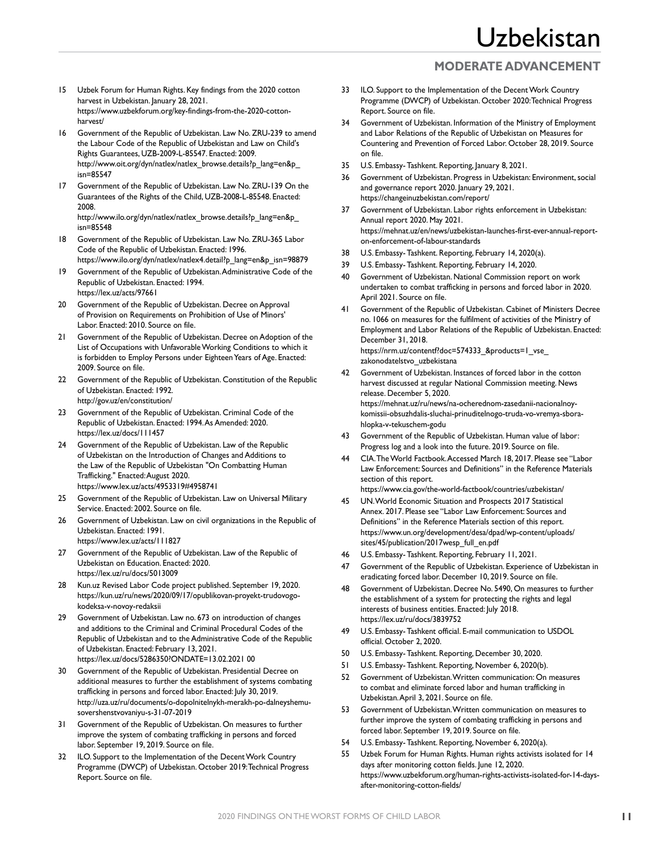### **MODERATE ADVANCEMENT**

- 15 Uzbek Forum for Human Rights. Key findings from the 2020 cotton harvest in Uzbekistan. January 28, 2021. [https://www.uzbekforum.org/key-findings-from-the-2020-cotton](https://www.uzbekforum.org/key-findings-from-the-2020-cotton-harvest/)[harvest/](https://www.uzbekforum.org/key-findings-from-the-2020-cotton-harvest/)
- 16 Government of the Republic of Uzbekistan. Law No. ZRU-239 to amend the Labour Code of the Republic of Uzbekistan and Law on Child's Rights Guarantees, UZB-2009-L-85547. Enacted: 2009. [http://www.oit.org/dyn/natlex/natlex\\_browse.details?p\\_lang=en&p\\_](http://www.oit.org/dyn/natlex/natlex_browse.details?p_lang=en&p_isn=85547) [isn=85547](http://www.oit.org/dyn/natlex/natlex_browse.details?p_lang=en&p_isn=85547)
- 17 Government of the Republic of Uzbekistan. Law No. ZRU-139 On the Guarantees of the Rights of the Child, UZB-2008-L-85548. Enacted: 2008. [http://www.ilo.org/dyn/natlex/natlex\\_browse.details?p\\_lang=en&p\\_](http://www.ilo.org/dyn/natlex/natlex_browse.details?p_lang=en&p_isn=85548)

[isn=85548](http://www.ilo.org/dyn/natlex/natlex_browse.details?p_lang=en&p_isn=85548) 18 Government of the Republic of Uzbekistan. Law No. ZRU-365 Labor Code of the Republic of Uzbekistan. Enacted: 1996.

[https://www.ilo.org/dyn/natlex/natlex4.detail?p\\_lang=en&p\\_isn=98879](https://www.ilo.org/dyn/natlex/natlex4.detail?p_lang=en&p_isn=98879)

- 19 Government of the Republic of Uzbekistan. Administrative Code of the Republic of Uzbekistan. Enacted: 1994. <https://lex.uz/acts/97661>
- 20 Government of the Republic of Uzbekistan. Decree on Approval of Provision on Requirements on Prohibition of Use of Minors' Labor. Enacted: 2010. Source on file.
- 21 Government of the Republic of Uzbekistan. Decree on Adoption of the List of Occupations with Unfavorable Working Conditions to which it is forbidden to Employ Persons under Eighteen Years of Age. Enacted: 2009. Source on file.
- 22 Government of the Republic of Uzbekistan. Constitution of the Republic of Uzbekistan. Enacted: 1992. <http://gov.uz/en/constitution/>
- 23 Government of the Republic of Uzbekistan. Criminal Code of the Republic of Uzbekistan. Enacted: 1994. As Amended: 2020. <https://lex.uz/docs/111457>
- 24 Government of the Republic of Uzbekistan. Law of the Republic of Uzbekistan on the Introduction of Changes and Additions to the Law of the Republic of Uzbekistan "On Combatting Human Trafficking." Enacted: August 2020. https://www.lex.uz/acts/4953319#4958741
- 25 Government of the Republic of Uzbekistan. Law on Universal Military Service. Enacted: 2002. Source on file.
- 26 Government of Uzbekistan. Law on civil organizations in the Republic of Uzbekistan. Enacted: 1991. <https://www.lex.uz/acts/111827>
- 27 Government of the Republic of Uzbekistan. Law of the Republic of Uzbekistan on Education. Enacted: 2020. <https://lex.uz/ru/docs/5013009>
- 28 Kun.uz Revised Labor Code project published. September 19, 2020. [https://kun.uz/ru/news/2020/09/17/opublikovan-proyekt-trudovogo](https://kun.uz/ru/news/2020/09/17/opublikovan-proyekt-trudovogo-kodeksa-v-novoy-redaksii)[kodeksa-v-novoy-redaksii](https://kun.uz/ru/news/2020/09/17/opublikovan-proyekt-trudovogo-kodeksa-v-novoy-redaksii)
- 29 Government of Uzbekistan. Law no. 673 on introduction of changes and additions to the Criminal and Criminal Procedural Codes of the Republic of Uzbekistan and to the Administrative Code of the Republic of Uzbekistan. Enacted: February 13, 2021. [https://lex.uz/docs/5286350?ONDATE=13.02.2021 00](https://lex.uz/docs/5286350?ONDATE=13.02.2021%2000)
- 30 Government of the Republic of Uzbekistan. Presidential Decree on additional measures to further the establishment of systems combating trafficking in persons and forced labor. Enacted: July 30, 2019. [http://uza.uz/ru/documents/o-dopolnitelnykh-merakh-po-dalneyshemu](http://uza.uz/ru/documents/o-dopolnitelnykh-merakh-po-dalneyshemu-sovershenstvovaniyu-s-31-07-2019)[sovershenstvovaniyu-s-31-07-2019](http://uza.uz/ru/documents/o-dopolnitelnykh-merakh-po-dalneyshemu-sovershenstvovaniyu-s-31-07-2019)
- Government of the Republic of Uzbekistan. On measures to further improve the system of combating trafficking in persons and forced labor. September 19, 2019. Source on file.
- 32 ILO. Support to the Implementation of the Decent Work Country Programme (DWCP) of Uzbekistan. October 2019: Technical Progress Report. Source on file.
- 33 ILO. Support to the Implementation of the Decent Work Country Programme (DWCP) of Uzbekistan. October 2020: Technical Progress Report. Source on file.
- 34 Government of Uzbekistan. Information of the Ministry of Employment and Labor Relations of the Republic of Uzbekistan on Measures for Countering and Prevention of Forced Labor. October 28, 2019. Source on file.
- 35 U.S. Embassy- Tashkent. Reporting, January 8, 2021.
- 36 Government of Uzbekistan. Progress in Uzbekistan: Environment, social and governance report 2020. January 29, 2021. <https://changeinuzbekistan.com/report/>
- 37 Government of Uzbekistan. Labor rights enforcement in Uzbekistan: Annual report 2020. May 2021. [https://mehnat.uz/en/news/uzbekistan-launches-first-ever-annual-report](https://mehnat.uz/en/news/uzbekistan-launches-first-ever-annual-report-on-enforcement-of-labour-standards)[on-enforcement-of-labour-standards](https://mehnat.uz/en/news/uzbekistan-launches-first-ever-annual-report-on-enforcement-of-labour-standards)
- 38 U.S. Embassy- Tashkent. Reporting, February 14, 2020(a).
- 39 U.S. Embassy- Tashkent. Reporting, February 14, 2020.
- 40 Government of Uzbekistan. National Commission report on work undertaken to combat trafficking in persons and forced labor in 2020. April 2021. Source on file.
- 41 Government of the Republic of Uzbekistan. Cabinet of Ministers Decree no. 1066 on measures for the fulfilment of activities of the Ministry of Employment and Labor Relations of the Republic of Uzbekistan. Enacted: December 31, 2018. [https://nrm.uz/contentf?doc=574333\\_&products=1\\_vse\\_](https://nrm.uz/contentf?doc=574333_&products=1_vse_zakonodatelstvo_uzbekistana) zakonodatelstvo uzbekistana
- 42 Government of Uzbekistan. Instances of forced labor in the cotton harvest discussed at regular National Commission meeting. News release. December 5, 2020. [https://mehnat.uz/ru/news/na-ocherednom-zasedanii-nacionalnoy-](https://mehnat.uz/ru/news/na-ocherednom-zasedanii-nacionalnoy-komissii-obsuzhdalis-sluchai-prinuditelnogo-truda-vo-vremya-sbora-hlopka-v-tekuschem-godu)

[komissii-obsuzhdalis-sluchai-prinuditelnogo-truda-vo-vremya-sbora](https://mehnat.uz/ru/news/na-ocherednom-zasedanii-nacionalnoy-komissii-obsuzhdalis-sluchai-prinuditelnogo-truda-vo-vremya-sbora-hlopka-v-tekuschem-godu)[hlopka-v-tekuschem-godu](https://mehnat.uz/ru/news/na-ocherednom-zasedanii-nacionalnoy-komissii-obsuzhdalis-sluchai-prinuditelnogo-truda-vo-vremya-sbora-hlopka-v-tekuschem-godu)

- 43 Government of the Republic of Uzbekistan. Human value of labor: Progress log and a look into the future. 2019. Source on file.
- 44 CIA. The World Factbook. Accessed March 18, 2017. Please see "Labor Law Enforcement: Sources and Definitions" in the Reference Materials section of this report.
- <https://www.cia.gov/the-world-factbook/countries/uzbekistan/> 45 UN. World Economic Situation and Prospects 2017 Statistical
- Annex. 2017. Please see "Labor Law Enforcement: Sources and Definitions" in the Reference Materials section of this report. [https://www.un.org/development/desa/dpad/wp-content/uploads/](https://www.un.org/development/desa/dpad/wp-content/uploads/sites/45/publication/2017wesp_full_en.pdf) [sites/45/publication/2017wesp\\_full\\_en.pdf](https://www.un.org/development/desa/dpad/wp-content/uploads/sites/45/publication/2017wesp_full_en.pdf)
- 46 U.S. Embassy- Tashkent. Reporting, February 11, 2021.
- 47 Government of the Republic of Uzbekistan. Experience of Uzbekistan in eradicating forced labor. December 10, 2019. Source on file.
- 48 Government of Uzbekistan. Decree No. 5490, On measures to further the establishment of a system for protecting the rights and legal interests of business entities. Enacted: July 2018. <https://lex.uz/ru/docs/3839752>
- 49 U.S. Embassy- Tashkent official. E-mail communication to USDOL official. October 2, 2020.
- 50 U.S. Embassy- Tashkent. Reporting, December 30, 2020.
- 51 U.S. Embassy- Tashkent. Reporting, November 6, 2020(b).
- 52 Government of Uzbekistan. Written communication: On measures to combat and eliminate forced labor and human trafficking in Uzbekistan. April 3, 2021. Source on file.
- 53 Government of Uzbekistan. Written communication on measures to further improve the system of combating trafficking in persons and forced labor. September 19, 2019. Source on file.
- 54 U.S. Embassy- Tashkent. Reporting, November 6, 2020(a).
- 55 Uzbek Forum for Human Rights. Human rights activists isolated for 14 days after monitoring cotton fields. June 12, 2020. [https://www.uzbekforum.org/human-rights-activists-isolated-for-14-days](https://www.uzbekforum.org/human-rights-activists-isolated-for-14-days-after-monitoring-cotton-fields/)[after-monitoring-cotton-fields/](https://www.uzbekforum.org/human-rights-activists-isolated-for-14-days-after-monitoring-cotton-fields/)